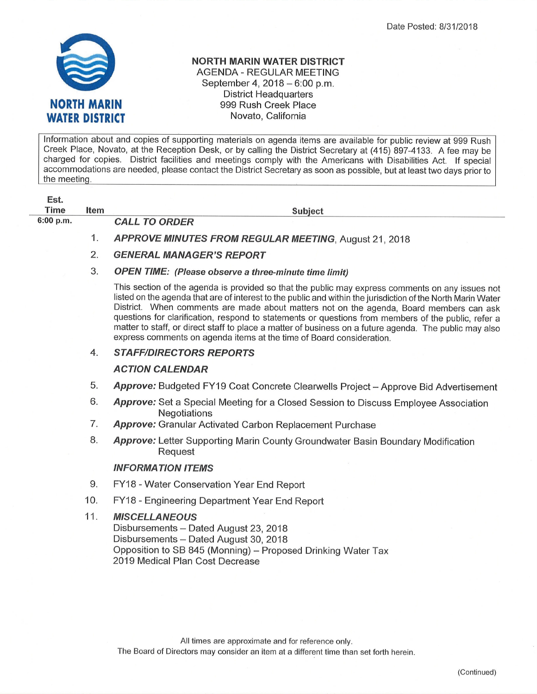

## NORTH MARIN WATER DISTRICT AGENDA - REGULAR MEETING September 4, 2018 - 6:00 p.m. District Headquarters 999 Rush Creek Place Novato, California

lnformation about and copies of supporting materials on agenda items are available for public review at ggg Rush Creek Place, Novato, at the Reception Desk, or by calling the District Secretary at (415) 897-4133. A fee may be charged for copies. District facilities and meetings comply with the Americans with Disabilities Act. lf special accommodations are needed, please contact the District Secretary as soon as possible, but at least two days prior to the meeting.

| Est.      |      |                      |
|-----------|------|----------------------|
| Time      | ltem |                      |
| 6:00 p.m. |      | <b>CALL TO ORDER</b> |

Subject

- 1. APPROVE MINUTES FROM REGULAR MEETING, August 21, 2018
- 2. GENERAL MANAGER'S REPORT

# 3. OPEN TIME: (Please observe a three-minute time limit)

This section of the agenda is provided so that the public may express comments on any issues not listed on the agenda that are of interest to the public and within the jurisdiction of the North Marin Water District. When comments are made about matters not on the agenda, Board members can ask questions for clarification, respond to statements or questions from members of the public, refer a matter to staff, or direct staff to place a matter of business on a future agenda. The public may also express comments on agenda items at the time of Board consideration.

#### **STAFF/DIRECTORS REPORTS** 4.

### ACTION CALENDAR

- Approve: Budgeted FY19 Coat Concrete Clearwells Project Approve Bid Advertisement 5
- Approve: Set a Special Meeting for a Closed Session to Discuss Employee Association Negotiations 6
- **Approve:** Granular Activated Carbon Replacement Purchase 7
- Approve: Letter Supporting Marin County Groundwater Basin Boundary Modification Request 8.

### INFORMATION ITEMS

- FY18 Water Conservation Year End Report 9.
- FY18 Engineering Department Year End Report 10
- **MISCELLANEOUS** Disbursements - Dated August 23, 2018 Disbursements - Dated August 30, 2018 Opposition to SB 845 (Monning) - Proposed Drinking Water Tax 2019 Medical Plan Cost Decrease 11